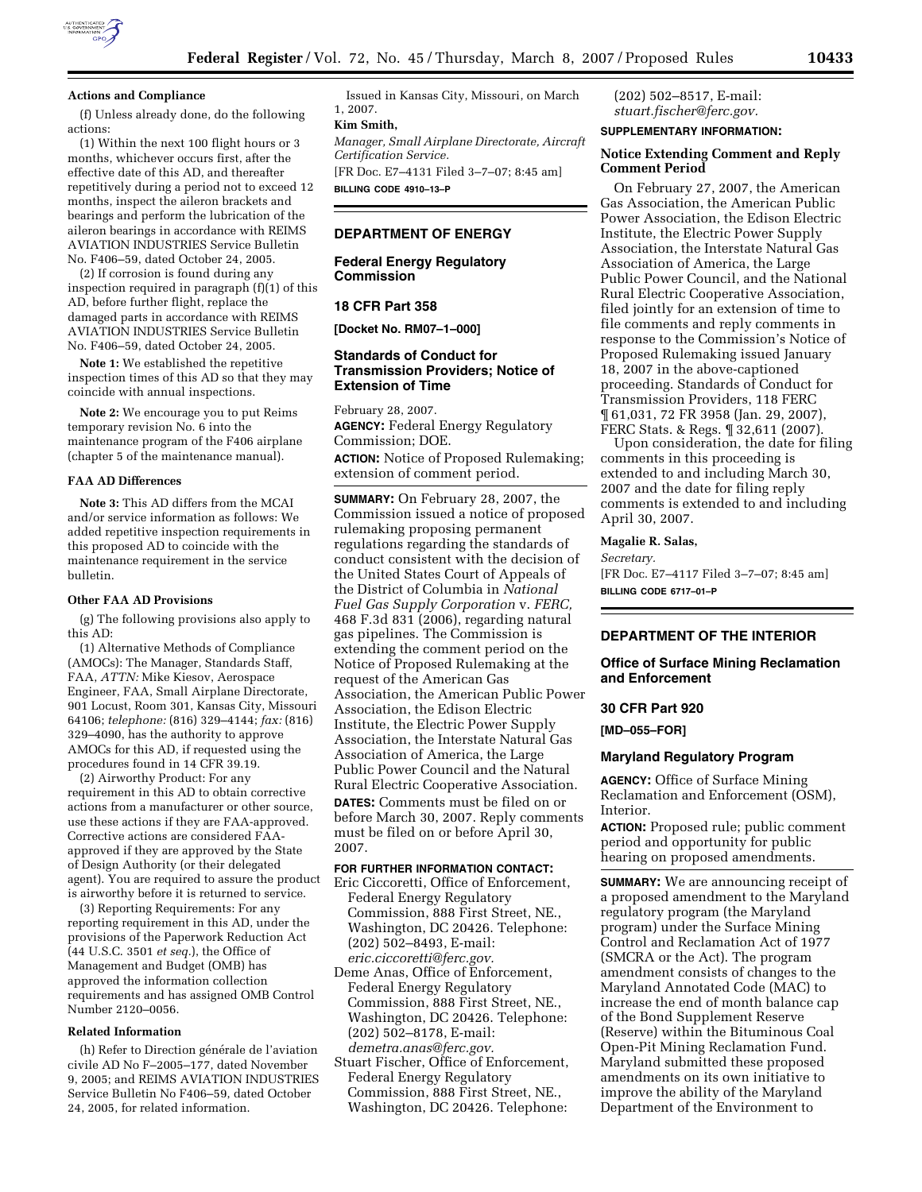

#### **Actions and Compliance**

(f) Unless already done, do the following actions:

(1) Within the next 100 flight hours or 3 months, whichever occurs first, after the effective date of this AD, and thereafter repetitively during a period not to exceed 12 months, inspect the aileron brackets and bearings and perform the lubrication of the aileron bearings in accordance with REIMS AVIATION INDUSTRIES Service Bulletin No. F406–59, dated October 24, 2005.

(2) If corrosion is found during any inspection required in paragraph (f)(1) of this AD, before further flight, replace the damaged parts in accordance with REIMS AVIATION INDUSTRIES Service Bulletin No. F406–59, dated October 24, 2005.

**Note 1:** We established the repetitive inspection times of this AD so that they may coincide with annual inspections.

**Note 2:** We encourage you to put Reims temporary revision No. 6 into the maintenance program of the F406 airplane (chapter 5 of the maintenance manual).

# **FAA AD Differences**

**Note 3:** This AD differs from the MCAI and/or service information as follows: We added repetitive inspection requirements in this proposed AD to coincide with the maintenance requirement in the service bulletin.

#### **Other FAA AD Provisions**

(g) The following provisions also apply to this AD:

(1) Alternative Methods of Compliance (AMOCs): The Manager, Standards Staff, FAA, *ATTN:* Mike Kiesov, Aerospace Engineer, FAA, Small Airplane Directorate, 901 Locust, Room 301, Kansas City, Missouri 64106; *telephone:* (816) 329–4144; *fax:* (816) 329–4090, has the authority to approve AMOCs for this AD, if requested using the procedures found in 14 CFR 39.19.

(2) Airworthy Product: For any requirement in this AD to obtain corrective actions from a manufacturer or other source, use these actions if they are FAA-approved. Corrective actions are considered FAAapproved if they are approved by the State of Design Authority (or their delegated agent). You are required to assure the product is airworthy before it is returned to service.

(3) Reporting Requirements: For any reporting requirement in this AD, under the provisions of the Paperwork Reduction Act (44 U.S.C. 3501 *et seq.*), the Office of Management and Budget (OMB) has approved the information collection requirements and has assigned OMB Control Number 2120–0056.

#### **Related Information**

(h) Refer to Direction générale de l'aviation civile AD No F–2005–177, dated November 9, 2005; and REIMS AVIATION INDUSTRIES Service Bulletin No F406–59, dated October 24, 2005, for related information.

Issued in Kansas City, Missouri, on March 1, 2007.

# **Kim Smith,**

*Manager, Small Airplane Directorate, Aircraft Certification Service.* 

[FR Doc. E7–4131 Filed 3–7–07; 8:45 am] **BILLING CODE 4910–13–P** 

# **DEPARTMENT OF ENERGY**

**Federal Energy Regulatory Commission** 

# **18 CFR Part 358**

**[Docket No. RM07–1–000]** 

# **Standards of Conduct for Transmission Providers; Notice of Extension of Time**

February 28, 2007. **AGENCY:** Federal Energy Regulatory Commission; DOE.

**ACTION:** Notice of Proposed Rulemaking; extension of comment period.

**SUMMARY:** On February 28, 2007, the Commission issued a notice of proposed rulemaking proposing permanent regulations regarding the standards of conduct consistent with the decision of the United States Court of Appeals of the District of Columbia in *National Fuel Gas Supply Corporation* v. *FERC,*  468 F.3d 831 (2006), regarding natural gas pipelines. The Commission is extending the comment period on the Notice of Proposed Rulemaking at the request of the American Gas Association, the American Public Power Association, the Edison Electric Institute, the Electric Power Supply Association, the Interstate Natural Gas Association of America, the Large Public Power Council and the Natural Rural Electric Cooperative Association.

**DATES:** Comments must be filed on or before March 30, 2007. Reply comments must be filed on or before April 30, 2007.

# **FOR FURTHER INFORMATION CONTACT:**

- Eric Ciccoretti, Office of Enforcement, Federal Energy Regulatory Commission, 888 First Street, NE., Washington, DC 20426. Telephone: (202) 502–8493, E-mail: *eric.ciccoretti@ferc.gov.*
- Deme Anas, Office of Enforcement, Federal Energy Regulatory Commission, 888 First Street, NE., Washington, DC 20426. Telephone: (202) 502–8178, E-mail: *demetra.anas@ferc.gov.*
- Stuart Fischer, Office of Enforcement, Federal Energy Regulatory Commission, 888 First Street, NE., Washington, DC 20426. Telephone:

(202) 502–8517, E-mail: *stuart.fischer@ferc.gov.* 

# **SUPPLEMENTARY INFORMATION:**

#### **Notice Extending Comment and Reply Comment Period**

On February 27, 2007, the American Gas Association, the American Public Power Association, the Edison Electric Institute, the Electric Power Supply Association, the Interstate Natural Gas Association of America, the Large Public Power Council, and the National Rural Electric Cooperative Association, filed jointly for an extension of time to file comments and reply comments in response to the Commission's Notice of Proposed Rulemaking issued January 18, 2007 in the above-captioned proceeding. Standards of Conduct for Transmission Providers, 118 FERC ¶ 61,031, 72 FR 3958 (Jan. 29, 2007), FERC Stats. & Regs. ¶ 32,611 (2007).

Upon consideration, the date for filing comments in this proceeding is extended to and including March 30, 2007 and the date for filing reply comments is extended to and including April 30, 2007.

#### **Magalie R. Salas,**

*Secretary.*  [FR Doc. E7–4117 Filed 3–7–07; 8:45 am] **BILLING CODE 6717–01–P** 

## **DEPARTMENT OF THE INTERIOR**

### **Office of Surface Mining Reclamation and Enforcement**

# **30 CFR Part 920**

**[MD–055–FOR]** 

#### **Maryland Regulatory Program**

**AGENCY:** Office of Surface Mining Reclamation and Enforcement (OSM), Interior.

**ACTION:** Proposed rule; public comment period and opportunity for public hearing on proposed amendments.

**SUMMARY:** We are announcing receipt of a proposed amendment to the Maryland regulatory program (the Maryland program) under the Surface Mining Control and Reclamation Act of 1977 (SMCRA or the Act). The program amendment consists of changes to the Maryland Annotated Code (MAC) to increase the end of month balance cap of the Bond Supplement Reserve (Reserve) within the Bituminous Coal Open-Pit Mining Reclamation Fund. Maryland submitted these proposed amendments on its own initiative to improve the ability of the Maryland Department of the Environment to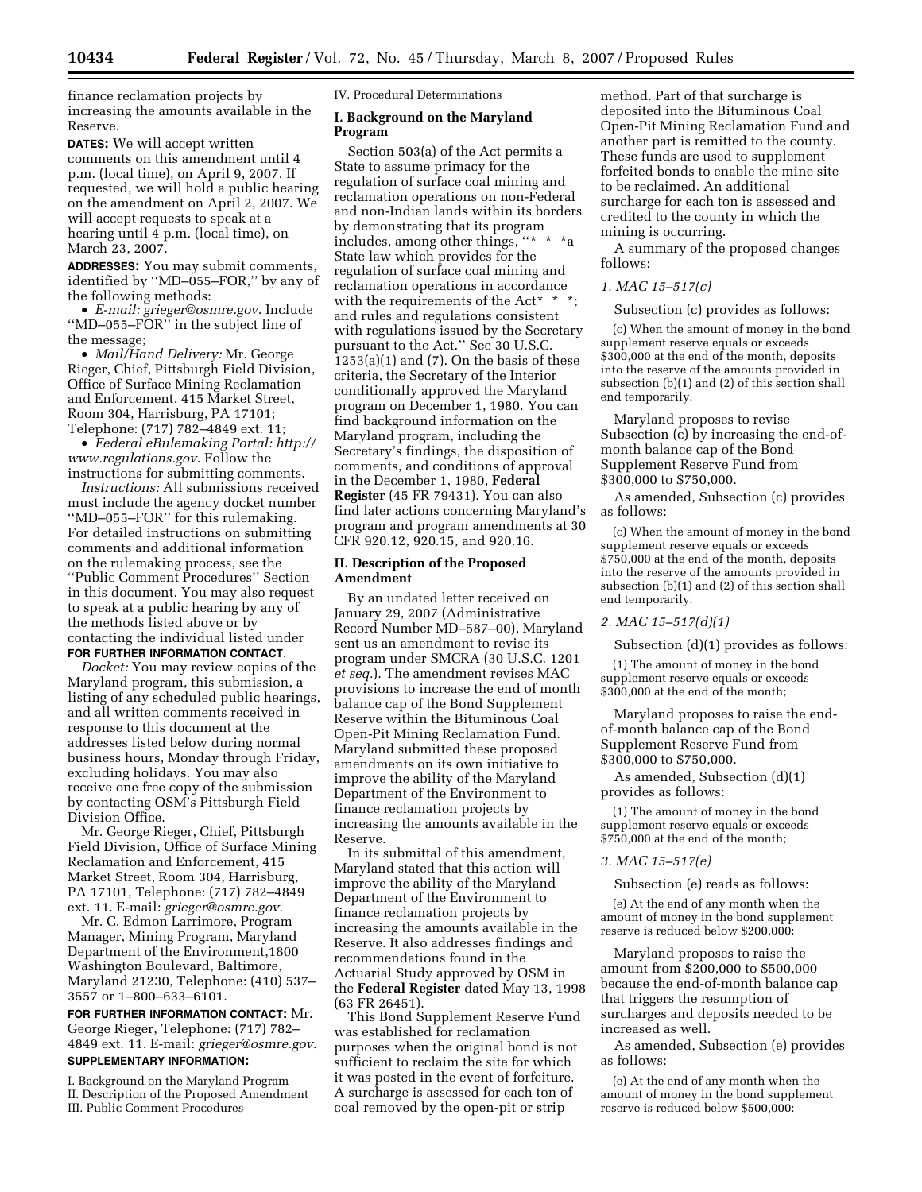finance reclamation projects by increasing the amounts available in the Reserve.

**DATES:** We will accept written comments on this amendment until 4 p.m. (local time), on April 9, 2007. If requested, we will hold a public hearing on the amendment on April 2, 2007. We will accept requests to speak at a hearing until 4 p.m. (local time), on March 23, 2007.

**ADDRESSES:** You may submit comments, identified by ''MD–055–FOR,'' by any of the following methods:

• *E-mail: grieger@osmre.gov*. Include ''MD–055–FOR'' in the subject line of the message;

• *Mail/Hand Delivery:* Mr. George Rieger, Chief, Pittsburgh Field Division, Office of Surface Mining Reclamation and Enforcement, 415 Market Street, Room 304, Harrisburg, PA 17101; Telephone: (717) 782–4849 ext. 11;

• *Federal eRulemaking Portal: http:// www.regulations.gov*. Follow the instructions for submitting comments.

*Instructions:* All submissions received must include the agency docket number ''MD–055–FOR'' for this rulemaking. For detailed instructions on submitting comments and additional information on the rulemaking process, see the ''Public Comment Procedures'' Section in this document. You may also request to speak at a public hearing by any of the methods listed above or by contacting the individual listed under **FOR FURTHER INFORMATION CONTACT**.

*Docket:* You may review copies of the Maryland program, this submission, a listing of any scheduled public hearings, and all written comments received in response to this document at the addresses listed below during normal business hours, Monday through Friday, excluding holidays. You may also receive one free copy of the submission by contacting OSM's Pittsburgh Field Division Office.

Mr. George Rieger, Chief, Pittsburgh Field Division, Office of Surface Mining Reclamation and Enforcement, 415 Market Street, Room 304, Harrisburg, PA 17101, Telephone: (717) 782–4849 ext. 11. E-mail: *grieger@osmre.gov*.

Mr. C. Edmon Larrimore, Program Manager, Mining Program, Maryland Department of the Environment,1800 Washington Boulevard, Baltimore, Maryland 21230, Telephone: (410) 537– 3557 or 1–800–633–6101.

**FOR FURTHER INFORMATION CONTACT:** Mr. George Rieger, Telephone: (717) 782– 4849 ext. 11. E-mail: *grieger@osmre.gov*. **SUPPLEMENTARY INFORMATION:** 

I. Background on the Maryland Program II. Description of the Proposed Amendment III. Public Comment Procedures

IV. Procedural Determinations

### **I. Background on the Maryland Program**

Section 503(a) of the Act permits a State to assume primacy for the regulation of surface coal mining and reclamation operations on non-Federal and non-Indian lands within its borders by demonstrating that its program includes, among other things, ''\* \* \*a State law which provides for the regulation of surface coal mining and reclamation operations in accordance with the requirements of the Act\*  $*$ ; and rules and regulations consistent with regulations issued by the Secretary pursuant to the Act.'' See 30 U.S.C.  $1253(a)(1)$  and  $(7)$ . On the basis of these criteria, the Secretary of the Interior conditionally approved the Maryland program on December 1, 1980. You can find background information on the Maryland program, including the Secretary's findings, the disposition of comments, and conditions of approval in the December 1, 1980, **Federal Register** (45 FR 79431). You can also find later actions concerning Maryland's program and program amendments at 30 CFR 920.12, 920.15, and 920.16.

# **II. Description of the Proposed Amendment**

By an undated letter received on January 29, 2007 (Administrative Record Number MD–587–00), Maryland sent us an amendment to revise its program under SMCRA (30 U.S.C. 1201 *et seq.*). The amendment revises MAC provisions to increase the end of month balance cap of the Bond Supplement Reserve within the Bituminous Coal Open-Pit Mining Reclamation Fund. Maryland submitted these proposed amendments on its own initiative to improve the ability of the Maryland Department of the Environment to finance reclamation projects by increasing the amounts available in the Reserve.

In its submittal of this amendment, Maryland stated that this action will improve the ability of the Maryland Department of the Environment to finance reclamation projects by increasing the amounts available in the Reserve. It also addresses findings and recommendations found in the Actuarial Study approved by OSM in the **Federal Register** dated May 13, 1998 (63 FR 26451).

This Bond Supplement Reserve Fund was established for reclamation purposes when the original bond is not sufficient to reclaim the site for which it was posted in the event of forfeiture. A surcharge is assessed for each ton of coal removed by the open-pit or strip

method. Part of that surcharge is deposited into the Bituminous Coal Open-Pit Mining Reclamation Fund and another part is remitted to the county. These funds are used to supplement forfeited bonds to enable the mine site to be reclaimed. An additional surcharge for each ton is assessed and credited to the county in which the mining is occurring.

A summary of the proposed changes follows:

### *1. MAC 15–517(c)*

Subsection (c) provides as follows:

(c) When the amount of money in the bond supplement reserve equals or exceeds \$300,000 at the end of the month, deposits into the reserve of the amounts provided in subsection (b)(1) and (2) of this section shall end temporarily.

Maryland proposes to revise Subsection (c) by increasing the end-ofmonth balance cap of the Bond Supplement Reserve Fund from \$300,000 to \$750,000.

As amended, Subsection (c) provides as follows:

(c) When the amount of money in the bond supplement reserve equals or exceeds \$750,000 at the end of the month, deposits into the reserve of the amounts provided in subsection (b)(1) and (2) of this section shall end temporarily.

# *2. MAC 15–517(d)(1)*

Subsection (d)(1) provides as follows:

(1) The amount of money in the bond supplement reserve equals or exceeds \$300,000 at the end of the month;

Maryland proposes to raise the endof-month balance cap of the Bond Supplement Reserve Fund from \$300,000 to \$750,000.

As amended, Subsection (d)(1) provides as follows:

(1) The amount of money in the bond supplement reserve equals or exceeds \$750,000 at the end of the month;

### *3. MAC 15–517(e)*

Subsection (e) reads as follows:

(e) At the end of any month when the amount of money in the bond supplement reserve is reduced below \$200,000:

Maryland proposes to raise the amount from \$200,000 to \$500,000 because the end-of-month balance cap that triggers the resumption of surcharges and deposits needed to be increased as well.

As amended, Subsection (e) provides as follows:

(e) At the end of any month when the amount of money in the bond supplement reserve is reduced below \$500,000: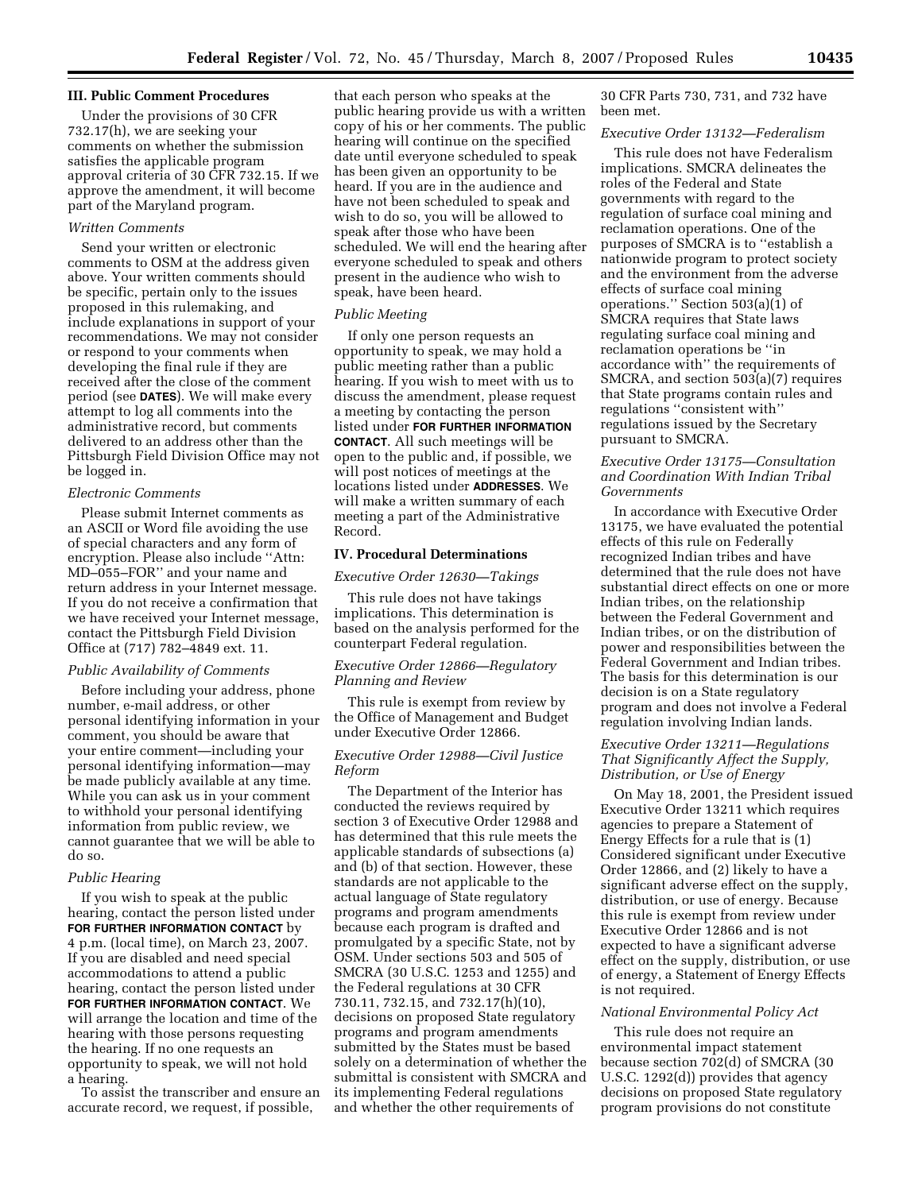#### **III. Public Comment Procedures**

Under the provisions of 30 CFR 732.17(h), we are seeking your comments on whether the submission satisfies the applicable program approval criteria of 30 CFR 732.15. If we approve the amendment, it will become part of the Maryland program.

#### *Written Comments*

Send your written or electronic comments to OSM at the address given above. Your written comments should be specific, pertain only to the issues proposed in this rulemaking, and include explanations in support of your recommendations. We may not consider or respond to your comments when developing the final rule if they are received after the close of the comment period (see **DATES**). We will make every attempt to log all comments into the administrative record, but comments delivered to an address other than the Pittsburgh Field Division Office may not be logged in.

### *Electronic Comments*

Please submit Internet comments as an ASCII or Word file avoiding the use of special characters and any form of encryption. Please also include ''Attn: MD–055–FOR'' and your name and return address in your Internet message. If you do not receive a confirmation that we have received your Internet message, contact the Pittsburgh Field Division Office at (717) 782–4849 ext. 11.

### *Public Availability of Comments*

Before including your address, phone number, e-mail address, or other personal identifying information in your comment, you should be aware that your entire comment—including your personal identifying information—may be made publicly available at any time. While you can ask us in your comment to withhold your personal identifying information from public review, we cannot guarantee that we will be able to do so.

# *Public Hearing*

If you wish to speak at the public hearing, contact the person listed under **FOR FURTHER INFORMATION CONTACT** by 4 p.m. (local time), on March 23, 2007. If you are disabled and need special accommodations to attend a public hearing, contact the person listed under **FOR FURTHER INFORMATION CONTACT**. We will arrange the location and time of the hearing with those persons requesting the hearing. If no one requests an opportunity to speak, we will not hold a hearing.

To assist the transcriber and ensure an accurate record, we request, if possible,

that each person who speaks at the public hearing provide us with a written copy of his or her comments. The public hearing will continue on the specified date until everyone scheduled to speak has been given an opportunity to be heard. If you are in the audience and have not been scheduled to speak and wish to do so, you will be allowed to speak after those who have been scheduled. We will end the hearing after everyone scheduled to speak and others present in the audience who wish to speak, have been heard.

### *Public Meeting*

If only one person requests an opportunity to speak, we may hold a public meeting rather than a public hearing. If you wish to meet with us to discuss the amendment, please request a meeting by contacting the person listed under **FOR FURTHER INFORMATION CONTACT**. All such meetings will be open to the public and, if possible, we will post notices of meetings at the locations listed under **ADDRESSES**. We will make a written summary of each meeting a part of the Administrative Record.

### **IV. Procedural Determinations**

*Executive Order 12630—Takings* 

This rule does not have takings implications. This determination is based on the analysis performed for the counterpart Federal regulation.

#### *Executive Order 12866—Regulatory Planning and Review*

This rule is exempt from review by the Office of Management and Budget under Executive Order 12866.

### *Executive Order 12988—Civil Justice Reform*

The Department of the Interior has conducted the reviews required by section 3 of Executive Order 12988 and has determined that this rule meets the applicable standards of subsections (a) and (b) of that section. However, these standards are not applicable to the actual language of State regulatory programs and program amendments because each program is drafted and promulgated by a specific State, not by OSM. Under sections 503 and 505 of SMCRA (30 U.S.C. 1253 and 1255) and the Federal regulations at 30 CFR 730.11, 732.15, and 732.17(h)(10), decisions on proposed State regulatory programs and program amendments submitted by the States must be based solely on a determination of whether the submittal is consistent with SMCRA and its implementing Federal regulations and whether the other requirements of

30 CFR Parts 730, 731, and 732 have been met.

### *Executive Order 13132—Federalism*

This rule does not have Federalism implications. SMCRA delineates the roles of the Federal and State governments with regard to the regulation of surface coal mining and reclamation operations. One of the purposes of SMCRA is to ''establish a nationwide program to protect society and the environment from the adverse effects of surface coal mining operations.'' Section 503(a)(1) of SMCRA requires that State laws regulating surface coal mining and reclamation operations be ''in accordance with'' the requirements of SMCRA, and section 503(a)(7) requires that State programs contain rules and regulations ''consistent with'' regulations issued by the Secretary pursuant to SMCRA.

# *Executive Order 13175—Consultation and Coordination With Indian Tribal Governments*

In accordance with Executive Order 13175, we have evaluated the potential effects of this rule on Federally recognized Indian tribes and have determined that the rule does not have substantial direct effects on one or more Indian tribes, on the relationship between the Federal Government and Indian tribes, or on the distribution of power and responsibilities between the Federal Government and Indian tribes. The basis for this determination is our decision is on a State regulatory program and does not involve a Federal regulation involving Indian lands.

# *Executive Order 13211—Regulations That Significantly Affect the Supply, Distribution, or Use of Energy*

On May 18, 2001, the President issued Executive Order 13211 which requires agencies to prepare a Statement of Energy Effects for a rule that is (1) Considered significant under Executive Order 12866, and (2) likely to have a significant adverse effect on the supply, distribution, or use of energy. Because this rule is exempt from review under Executive Order 12866 and is not expected to have a significant adverse effect on the supply, distribution, or use of energy, a Statement of Energy Effects is not required.

### *National Environmental Policy Act*

This rule does not require an environmental impact statement because section 702(d) of SMCRA (30 U.S.C. 1292(d)) provides that agency decisions on proposed State regulatory program provisions do not constitute